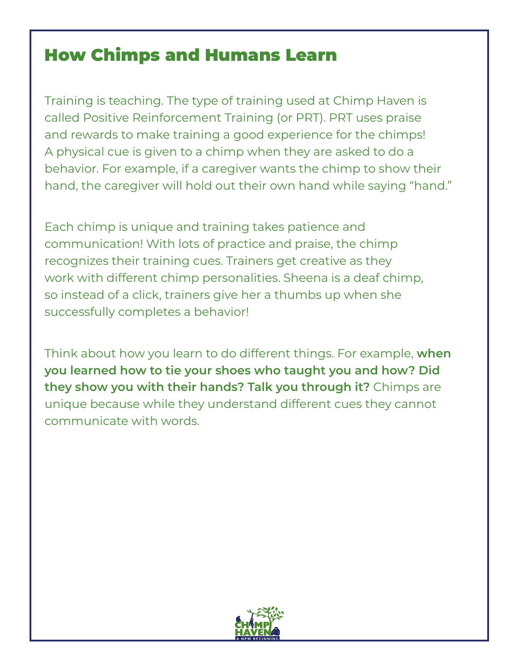## How Chimps and Humans Learn

Training is teaching. The type of training used at Chimp Haven is called Positive Reinforcement Training (or PRT). PRT uses praise and rewards to make training a good experience for the chimps! A physical cue is given to a chimp when they are asked to do a behavior. For example, if a caregiver wants the chimp to show their hand, the caregiver will hold out their own hand while saying "hand."

Each chimp is unique and training takes patience and communication! With lots of practice and praise, the chimp recognizes their training cues. Trainers get creative as they work with different chimp personalities. Sheena is a deaf chimp, so instead of a click, trainers give her a thumbs up when she successfully completes a behavior!

Think about how you learn to do different things. For example, **when you learned how to tie your shoes who taught you and how? Did they show you with their hands? Talk you through it?** Chimps are unique because while they understand different cues they cannot communicate with words.